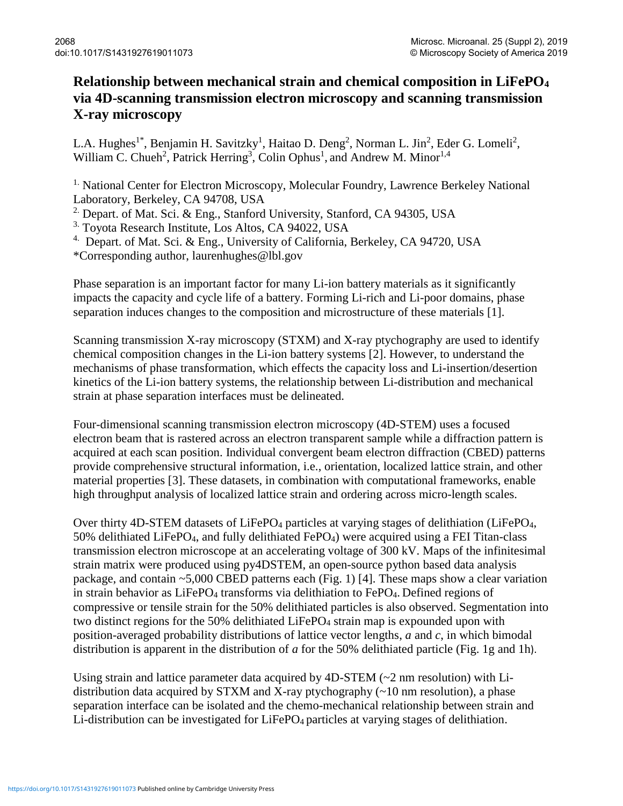## **Relationship between mechanical strain and chemical composition in LiFePO<sup>4</sup> via 4D-scanning transmission electron microscopy and scanning transmission X-ray microscopy**

L.A. Hughes<sup>1\*</sup>, Benjamin H. Savitzky<sup>1</sup>, Haitao D. Deng<sup>2</sup>, Norman L. Jin<sup>2</sup>, Eder G. Lomeli<sup>2</sup>, William C. Chueh<sup>2</sup>, Patrick Herring<sup>3</sup>, Colin Ophus<sup>1</sup>, and Andrew M. Minor<sup>1,4</sup>

<sup>1.</sup> National Center for Electron Microscopy, Molecular Foundry, Lawrence Berkeley National Laboratory, Berkeley, CA 94708, USA

<sup>2.</sup> Depart. of Mat. Sci. & Eng., Stanford University, Stanford, CA 94305, USA

3. Toyota Research Institute, Los Altos, CA 94022, USA

<sup>4.</sup> Depart. of Mat. Sci. & Eng., University of California, Berkeley, CA 94720, USA

\*Corresponding author, laurenhughes@lbl.gov

Phase separation is an important factor for many Li-ion battery materials as it significantly impacts the capacity and cycle life of a battery. Forming Li-rich and Li-poor domains, phase separation induces changes to the composition and microstructure of these materials [1].

Scanning transmission X-ray microscopy (STXM) and X-ray ptychography are used to identify chemical composition changes in the Li-ion battery systems [2]. However, to understand the mechanisms of phase transformation, which effects the capacity loss and Li-insertion/desertion kinetics of the Li-ion battery systems, the relationship between Li-distribution and mechanical strain at phase separation interfaces must be delineated.

Four-dimensional scanning transmission electron microscopy (4D-STEM) uses a focused electron beam that is rastered across an electron transparent sample while a diffraction pattern is acquired at each scan position. Individual convergent beam electron diffraction (CBED) patterns provide comprehensive structural information, i.e., orientation, localized lattice strain, and other material properties [3]. These datasets, in combination with computational frameworks, enable high throughput analysis of localized lattice strain and ordering across micro-length scales.

Over thirty 4D-STEM datasets of LiFePO<sub>4</sub> particles at varying stages of delithiation (LiFePO<sub>4</sub>, 50% delithiated LiFePO4, and fully delithiated FePO4) were acquired using a FEI Titan-class transmission electron microscope at an accelerating voltage of 300 kV. Maps of the infinitesimal strain matrix were produced using py4DSTEM, an open-source python based data analysis package, and contain ~5,000 CBED patterns each (Fig. 1) [4]. These maps show a clear variation in strain behavior as LiFePO<sub>4</sub> transforms via delithiation to FePO<sub>4</sub>. Defined regions of compressive or tensile strain for the 50% delithiated particles is also observed. Segmentation into two distinct regions for the 50% delithiated LiFePO<sub>4</sub> strain map is expounded upon with position-averaged probability distributions of lattice vector lengths, *a* and *c*, in which bimodal distribution is apparent in the distribution of *a* for the 50% delithiated particle (Fig. 1g and 1h).

Using strain and lattice parameter data acquired by  $4D-STEM \sim 2$  nm resolution) with Lidistribution data acquired by STXM and X-ray ptychography (~10 nm resolution), a phase separation interface can be isolated and the chemo-mechanical relationship between strain and Li-distribution can be investigated for LiFePO<sub>4</sub> particles at varying stages of delithiation.